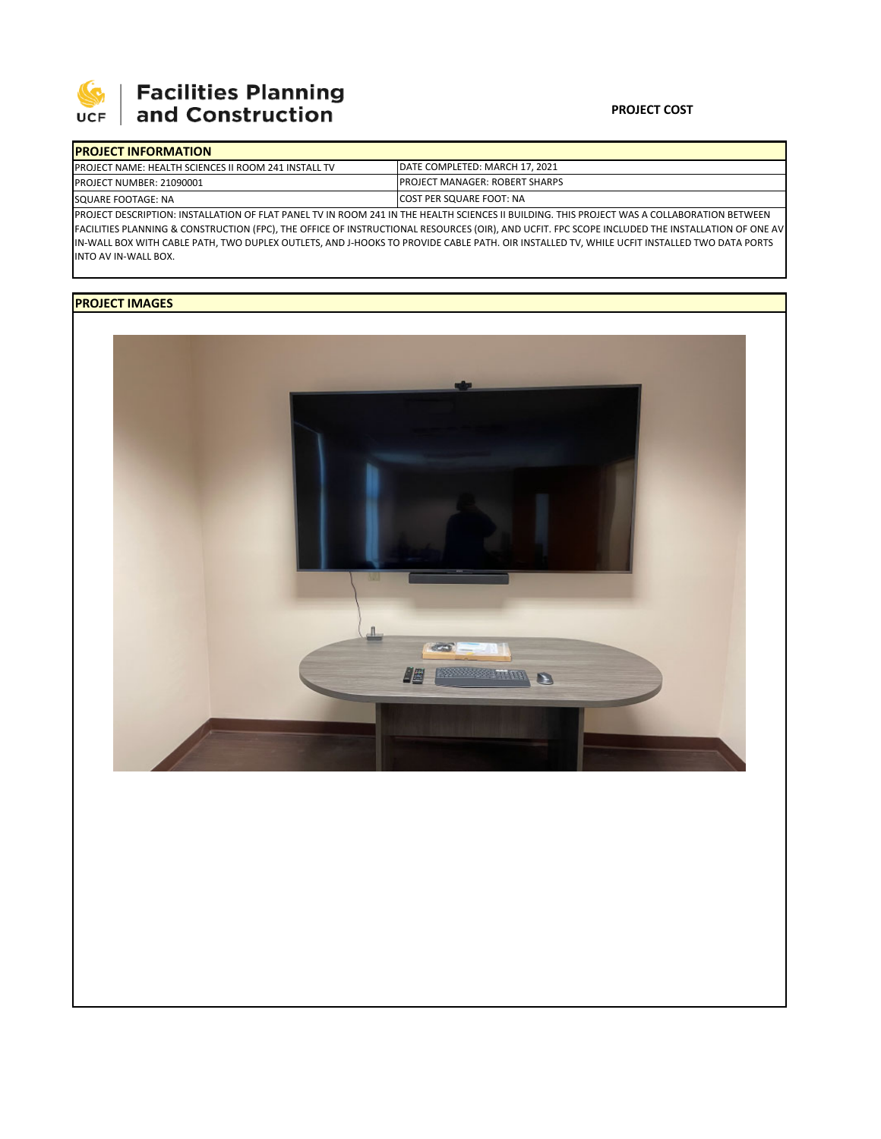

# **Facilities Planning**<br>and Construction

### **PROJECT COST**

| <b>IPROJECT INFORMATION</b>                                                                                                                  |                                        |  |  |  |
|----------------------------------------------------------------------------------------------------------------------------------------------|----------------------------------------|--|--|--|
| <b>IPROJECT NAME: HEALTH SCIENCES II ROOM 241 INSTALL TV</b>                                                                                 | <b>IDATE COMPLETED: MARCH 17, 2021</b> |  |  |  |
| <b>PROJECT NUMBER: 21090001</b>                                                                                                              | <b>IPROJECT MANAGER: ROBERT SHARPS</b> |  |  |  |
| SQUARE FOOTAGE: NA                                                                                                                           | <b>ICOST PER SQUARE FOOT: NA</b>       |  |  |  |
| IPROJECT DESCRIPTION: INSTALLATION OF FLAT PANEL TV IN ROOM 241 IN THE HEALTH SCIENCES II BUILDING. THIS PROJECT WAS A COLLABORATION BETWEEN |                                        |  |  |  |

FACILITIES PLANNING & CONSTRUCTION (FPC), THE OFFICE OF INSTRUCTIONAL RESOURCES (OIR), AND UCFIT. FPC SCOPE INCLUDED THE INSTALLATION OF ONE AV IN‐WALL BOX WITH CABLE PATH, TWO DUPLEX OUTLETS, AND J‐HOOKS TO PROVIDE CABLE PATH. OIR INSTALLED TV, WHILE UCFIT INSTALLED TWO DATA PORTS INTO AV IN‐WALL BOX.

## **PROJECT IMAGES**